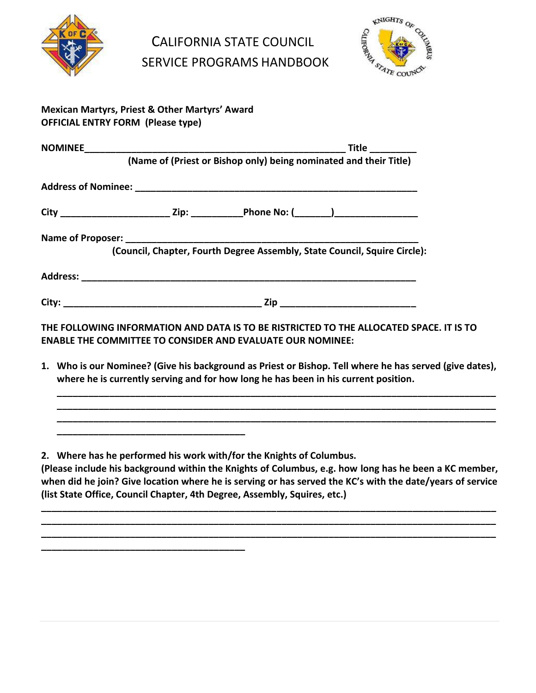

CALIFORNIA STATE COUNCIL SERVICE PROGRAMS HANDBOOK



## **Mexican Martyrs, Priest & Other Martyrs' Award OFFICIAL ENTRY FORM (Please type)**

|  | Title _________                                                                                                                                                                                                                                       |
|--|-------------------------------------------------------------------------------------------------------------------------------------------------------------------------------------------------------------------------------------------------------|
|  |                                                                                                                                                                                                                                                       |
|  |                                                                                                                                                                                                                                                       |
|  |                                                                                                                                                                                                                                                       |
|  |                                                                                                                                                                                                                                                       |
|  |                                                                                                                                                                                                                                                       |
|  |                                                                                                                                                                                                                                                       |
|  | (Name of (Priest or Bishop only) being nominated and their Title)<br>City _______________________________Zip: _______________Phone No: (________)_______________________<br>(Council, Chapter, Fourth Degree Assembly, State Council, Squire Circle): |

**THE FOLLOWING INFORMATION AND DATA IS TO BE RISTRICTED TO THE ALLOCATED SPACE. IT IS TO ENABLE THE COMMITTEE TO CONSIDER AND EVALUATE OUR NOMINEE:** 

**1. Who is our Nominee? (Give his background as Priest or Bishop. Tell where he has served (give dates), where he is currently serving and for how long he has been in his current position.**

**\_\_\_\_\_\_\_\_\_\_\_\_\_\_\_\_\_\_\_\_\_\_\_\_\_\_\_\_\_\_\_\_\_\_\_\_\_\_\_\_\_\_\_\_\_\_\_\_\_\_\_\_\_\_\_\_\_\_\_\_\_\_\_\_\_\_\_\_\_\_\_\_\_\_\_\_\_\_\_\_\_\_\_\_ \_\_\_\_\_\_\_\_\_\_\_\_\_\_\_\_\_\_\_\_\_\_\_\_\_\_\_\_\_\_\_\_\_\_\_\_\_\_\_\_\_\_\_\_\_\_\_\_\_\_\_\_\_\_\_\_\_\_\_\_\_\_\_\_\_\_\_\_\_\_\_\_\_\_\_\_\_\_\_\_\_\_\_\_ \_\_\_\_\_\_\_\_\_\_\_\_\_\_\_\_\_\_\_\_\_\_\_\_\_\_\_\_\_\_\_\_\_\_\_\_\_\_\_\_\_\_\_\_\_\_\_\_\_\_\_\_\_\_\_\_\_\_\_\_\_\_\_\_\_\_\_\_\_\_\_\_\_\_\_\_\_\_\_\_\_\_\_\_**

**2. Where has he performed his work with/for the Knights of Columbus.**

**\_\_\_\_\_\_\_\_\_\_\_\_\_\_\_\_\_\_\_\_\_\_\_\_\_\_\_\_\_\_\_\_\_\_\_\_**

**\_\_\_\_\_\_\_\_\_\_\_\_\_\_\_\_\_\_\_\_\_\_\_\_\_\_\_\_\_\_\_\_\_\_\_\_\_\_\_**

**(Please include his background within the Knights of Columbus, e.g. how long has he been a KC member, when did he join? Give location where he is serving or has served the KC's with the date/years of service (list State Office, Council Chapter, 4th Degree, Assembly, Squires, etc.)**

**\_\_\_\_\_\_\_\_\_\_\_\_\_\_\_\_\_\_\_\_\_\_\_\_\_\_\_\_\_\_\_\_\_\_\_\_\_\_\_\_\_\_\_\_\_\_\_\_\_\_\_\_\_\_\_\_\_\_\_\_\_\_\_\_\_\_\_\_\_\_\_\_\_\_\_\_\_\_\_\_\_\_\_\_\_\_\_ \_\_\_\_\_\_\_\_\_\_\_\_\_\_\_\_\_\_\_\_\_\_\_\_\_\_\_\_\_\_\_\_\_\_\_\_\_\_\_\_\_\_\_\_\_\_\_\_\_\_\_\_\_\_\_\_\_\_\_\_\_\_\_\_\_\_\_\_\_\_\_\_\_\_\_\_\_\_\_\_\_\_\_\_\_\_\_ \_\_\_\_\_\_\_\_\_\_\_\_\_\_\_\_\_\_\_\_\_\_\_\_\_\_\_\_\_\_\_\_\_\_\_\_\_\_\_\_\_\_\_\_\_\_\_\_\_\_\_\_\_\_\_\_\_\_\_\_\_\_\_\_\_\_\_\_\_\_\_\_\_\_\_\_\_\_\_\_\_\_\_\_\_\_\_**